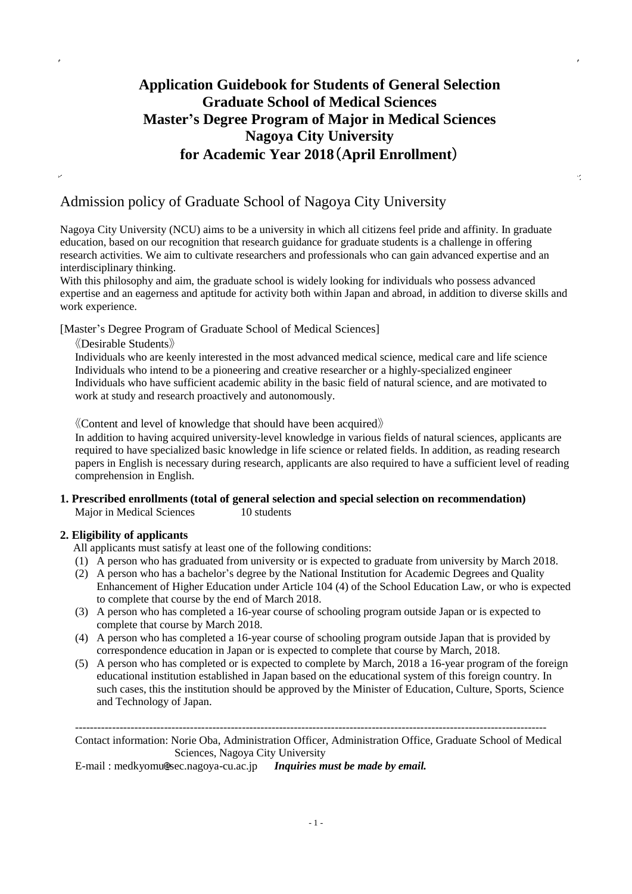## **Application Guidebook for Students of General Selection Graduate School of Medical Sciences Master's Degree Program of Major in Medical Sciences Nagoya City University for Academic Year 2018**(**April Enrollment**)

Ÿ,

### Admission policy of Graduate School of Nagoya City University

Nagoya City University (NCU) aims to be a university in which all citizens feel pride and affinity. In graduate education, based on our recognition that research guidance for graduate students is a challenge in offering research activities. We aim to cultivate researchers and professionals who can gain advanced expertise and an interdisciplinary thinking.

With this philosophy and aim, the graduate school is widely looking for individuals who possess advanced expertise and an eagerness and aptitude for activity both within Japan and abroad, in addition to diverse skills and work experience.

[Master's Degree Program of Graduate School of Medical Sciences]

《Desirable Students》

Individuals who are keenly interested in the most advanced medical science, medical care and life science Individuals who intend to be a pioneering and creative researcher or a highly-specialized engineer Individuals who have sufficient academic ability in the basic field of natural science, and are motivated to work at study and research proactively and autonomously.

《Content and level of knowledge that should have been acquired》

In addition to having acquired university-level knowledge in various fields of natural sciences, applicants are required to have specialized basic knowledge in life science or related fields. In addition, as reading research papers in English is necessary during research, applicants are also required to have a sufficient level of reading comprehension in English.

### **1. Prescribed enrollments (total of general selection and special selection on recommendation)** Major in Medical Sciences 10 students

### **2. Eligibility of applicants**

All applicants must satisfy at least one of the following conditions:

- (1) A person who has graduated from university or is expected to graduate from university by March 2018.
- (2) A person who has a bachelor's degree by the National Institution for Academic Degrees and Quality Enhancement of Higher Education under Article 104 (4) of the School Education Law, or who is expected to complete that course by the end of March 2018.
- (3) A person who has completed a 16-year course of schooling program outside Japan or is expected to complete that course by March 2018.
- (4) A person who has completed a 16-year course of schooling program outside Japan that is provided by correspondence education in Japan or is expected to complete that course by March, 2018.
- (5) A person who has completed or is expected to complete by March, 2018 a 16-year program of the foreign educational institution established in Japan based on the educational system of this foreign country. In such cases, this the institution should be approved by the Minister of Education, Culture, Sports, Science and Technology of Japan.

------------------------------------------------------------------------------------------------------------------------------- Contact information: Norie Oba, Administration Officer, Administration Office, Graduate School of Medical Sciences, Nagoya City University

E-mail: medkyomu@sec.nagoya-cu.ac.jp *Inquiries must be made by email.*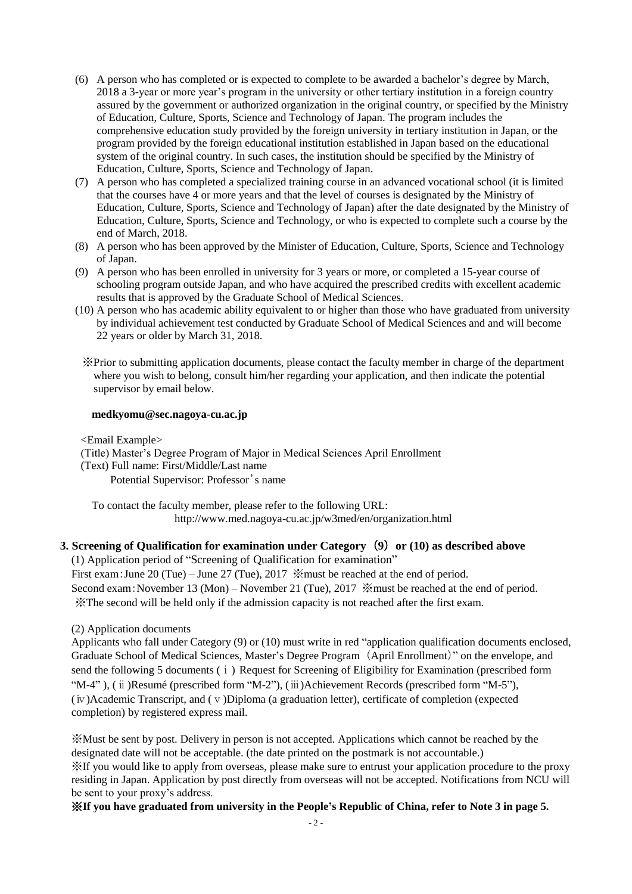- (6) A person who has completed or is expected to complete to be awarded a bachelor's degree by March, 2018 a 3-year or more year's program in the university or other tertiary institution in a foreign country assured by the government or authorized organization in the original country, or specified by the Ministry of Education, Culture, Sports, Science and Technology of Japan. The program includes the comprehensive education study provided by the foreign university in tertiary institution in Japan, or the program provided by the foreign educational institution established in Japan based on the educational system of the original country. In such cases, the institution should be specified by the Ministry of Education, Culture, Sports, Science and Technology of Japan.
- (7) A person who has completed a specialized training course in an advanced vocational school (it is limited that the courses have 4 or more years and that the level of courses is designated by the Ministry of Education, Culture, Sports, Science and Technology of Japan) after the date designated by the Ministry of Education, Culture, Sports, Science and Technology, or who is expected to complete such a course by the end of March, 2018.
- (8) A person who has been approved by the Minister of Education, Culture, Sports, Science and Technology of Japan.
- (9) A person who has been enrolled in university for 3 years or more, or completed a 15-year course of schooling program outside Japan, and who have acquired the prescribed credits with excellent academic results that is approved by the Graduate School of Medical Sciences.
- (10) A person who has academic ability equivalent to or higher than those who have graduated from university by individual achievement test conducted by Graduate School of Medical Sciences and and will become 22 years or older by March 31, 2018.
	- ※Prior to submitting application documents, please contact the faculty member in charge of the department where you wish to belong, consult him/her regarding your application, and then indicate the potential supervisor by email below.

### **medkyomu@sec.nagoya-cu.ac.jp**

<Email Example>

(Title) Master's Degree Program of Major in Medical Sciences April Enrollment

(Text) Full name: First/Middle/Last name

Potential Supervisor: Professor's name

To contact the faculty member, please refer to the following URL: http://www.med.nagoya-cu.ac.jp/w3med/en/organization.html

### **3. Screening of Qualification for examination under Category** (**9**) **or (10) as described above**

(1) Application period of "Screening of Qualification for examination" First exam:June 20 (Tue) – June 27 (Tue), 2017 ※must be reached at the end of period. Second exam:November 13 (Mon) – November 21 (Tue), 2017 ※must be reached at the end of period. ※The second will be held only if the admission capacity is not reached after the first exam.

(2) Application documents

Applicants who fall under Category (9) or (10) must write in red "application qualification documents enclosed, Graduate School of Medical Sciences, Master's Degree Program (April Enrollment)" on the envelope, and send the following 5 documents ( $\mathbf{i}$ ) Request for Screening of Eligibility for Examination (prescribed form "M-4" ), (ⅱ)Resumé (prescribed form "M-2"), (ⅲ)Achievement Records (prescribed form "M-5"), (ⅳ)Academic Transcript, and (ⅴ)Diploma (a graduation letter), certificate of completion (expected completion) by registered express mail.

※Must be sent by post. Delivery in person is not accepted. Applications which cannot be reached by the designated date will not be acceptable. (the date printed on the postmark is not accountable.) ※If you would like to apply from overseas, please make sure to entrust your application procedure to the proxy residing in Japan. Application by post directly from overseas will not be accepted. Notifications from NCU will be sent to your proxy's address.

※**If you have graduated from university in the People's Republic of China, refer to Note 3 in page 5.**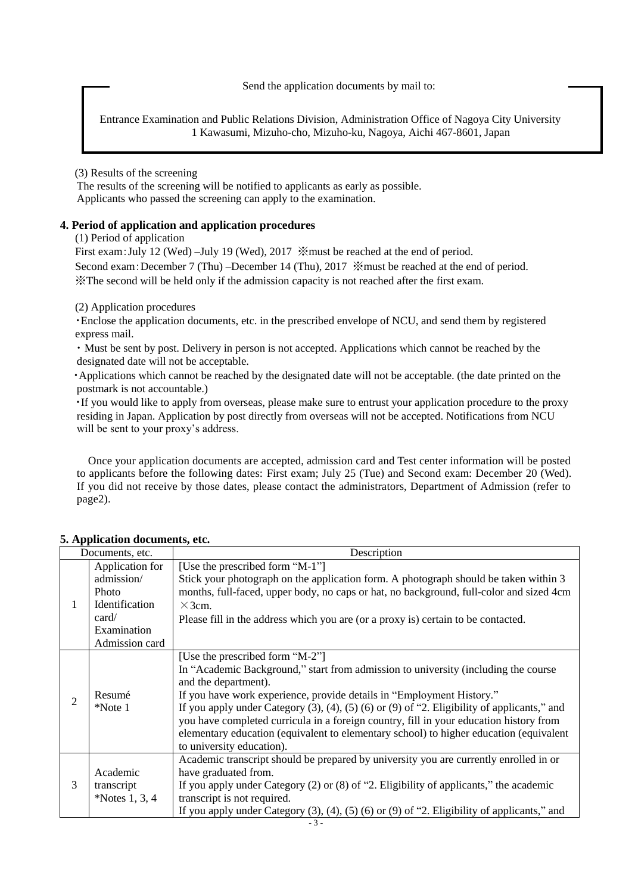Send the application documents by mail to:

Entrance Examination and Public Relations Division, Administration Office of Nagoya City University 1 Kawasumi, Mizuho-cho, Mizuho-ku, Nagoya, Aichi 467-8601, Japan

(3) Results of the screening

The results of the screening will be notified to applicants as early as possible. Applicants who passed the screening can apply to the examination.

### **4. Period of application and application procedures**

(1) Period of application

First exam: July 12 (Wed) –July 19 (Wed), 2017  $\mathcal{K}$  must be reached at the end of period. Second exam: December 7 (Thu) –December 14 (Thu), 2017  $\mathcal{K}$  must be reached at the end of period. ※The second will be held only if the admission capacity is not reached after the first exam.

(2) Application procedures

・Enclose the application documents, etc. in the prescribed envelope of NCU, and send them by registered express mail.

・Must be sent by post. Delivery in person is not accepted. Applications which cannot be reached by the designated date will not be acceptable.

・Applications which cannot be reached by the designated date will not be acceptable. (the date printed on the postmark is not accountable.)

・If you would like to apply from overseas, please make sure to entrust your application procedure to the proxy residing in Japan. Application by post directly from overseas will not be accepted. Notifications from NCU will be sent to your proxy's address.

Once your application documents are accepted, admission card and Test center information will be posted to applicants before the following dates: First exam; July 25 (Tue) and Second exam: December 20 (Wed). If you did not receive by those dates, please contact the administrators, Department of Admission (refer to page2).

|                | Documents, etc.                                                                                           | Description                                                                                                                                                                                                                                                                                                                                                                                                                                                                                                                                        |
|----------------|-----------------------------------------------------------------------------------------------------------|----------------------------------------------------------------------------------------------------------------------------------------------------------------------------------------------------------------------------------------------------------------------------------------------------------------------------------------------------------------------------------------------------------------------------------------------------------------------------------------------------------------------------------------------------|
| 1              | Application for<br>admission/<br><b>Photo</b><br>Identification<br>card/<br>Examination<br>Admission card | [Use the prescribed form "M-1"]<br>Stick your photograph on the application form. A photograph should be taken within 3<br>months, full-faced, upper body, no caps or hat, no background, full-color and sized 4cm<br>$\times$ 3cm.<br>Please fill in the address which you are (or a proxy is) certain to be contacted.                                                                                                                                                                                                                           |
| $\overline{2}$ | Resumé<br>*Note 1                                                                                         | [Use the prescribed form "M-2"]<br>In "Academic Background," start from admission to university (including the course<br>and the department).<br>If you have work experience, provide details in "Employment History."<br>If you apply under Category $(3)$ , $(4)$ , $(5)$ $(6)$ or $(9)$ of "2. Eligibility of applicants," and<br>you have completed curricula in a foreign country, fill in your education history from<br>elementary education (equivalent to elementary school) to higher education (equivalent<br>to university education). |
| 3              | Academic<br>transcript<br>*Notes $1, 3, 4$                                                                | Academic transcript should be prepared by university you are currently enrolled in or<br>have graduated from.<br>If you apply under Category $(2)$ or $(8)$ of "2. Eligibility of applicants," the academic<br>transcript is not required.<br>If you apply under Category $(3)$ , $(4)$ , $(5)$ $(6)$ or $(9)$ of "2. Eligibility of applicants," and                                                                                                                                                                                              |

### **5. Application documents, etc.**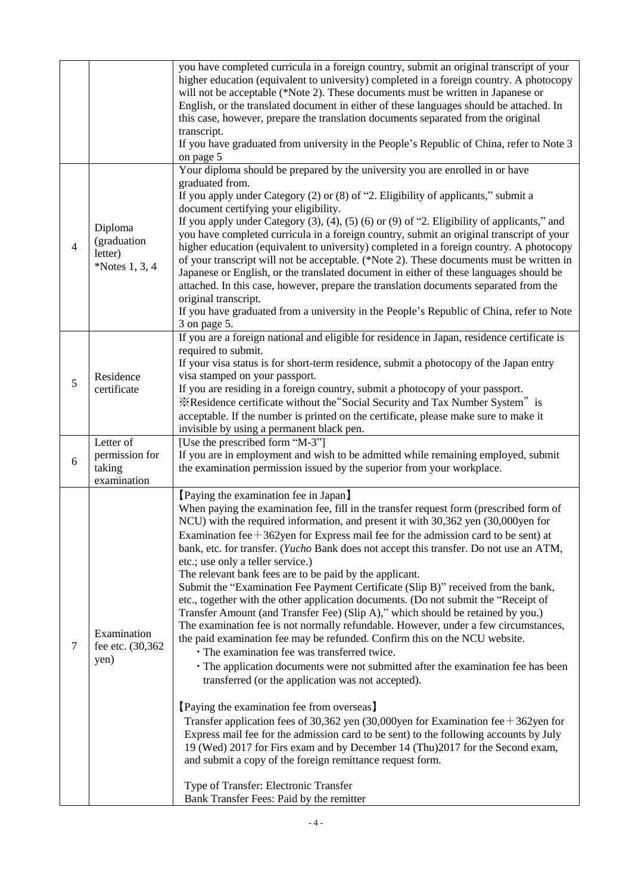|                |                                                       | you have completed curricula in a foreign country, submit an original transcript of your<br>higher education (equivalent to university) completed in a foreign country. A photocopy<br>will not be acceptable (*Note 2). These documents must be written in Japanese or<br>English, or the translated document in either of these languages should be attached. In<br>this case, however, prepare the translation documents separated from the original<br>transcript.<br>If you have graduated from university in the People's Republic of China, refer to Note 3<br>on page 5                                                                                                                                                                                                                                                                                                                                                                                                                                                                                                                                                                                                                                                                                                                                                                                                                                                                                                                                                                                                                           |
|----------------|-------------------------------------------------------|-----------------------------------------------------------------------------------------------------------------------------------------------------------------------------------------------------------------------------------------------------------------------------------------------------------------------------------------------------------------------------------------------------------------------------------------------------------------------------------------------------------------------------------------------------------------------------------------------------------------------------------------------------------------------------------------------------------------------------------------------------------------------------------------------------------------------------------------------------------------------------------------------------------------------------------------------------------------------------------------------------------------------------------------------------------------------------------------------------------------------------------------------------------------------------------------------------------------------------------------------------------------------------------------------------------------------------------------------------------------------------------------------------------------------------------------------------------------------------------------------------------------------------------------------------------------------------------------------------------|
| $\overline{4}$ | Diploma<br>(graduation<br>letter)<br>*Notes $1, 3, 4$ | Your diploma should be prepared by the university you are enrolled in or have<br>graduated from.<br>If you apply under Category $(2)$ or $(8)$ of "2. Eligibility of applicants," submit a<br>document certifying your eligibility.<br>If you apply under Category $(3)$ , $(4)$ , $(5)$ $(6)$ or $(9)$ of "2. Eligibility of applicants," and<br>you have completed curricula in a foreign country, submit an original transcript of your<br>higher education (equivalent to university) completed in a foreign country. A photocopy<br>of your transcript will not be acceptable. (*Note 2). These documents must be written in<br>Japanese or English, or the translated document in either of these languages should be<br>attached. In this case, however, prepare the translation documents separated from the<br>original transcript.<br>If you have graduated from a university in the People's Republic of China, refer to Note<br>3 on page 5.                                                                                                                                                                                                                                                                                                                                                                                                                                                                                                                                                                                                                                                  |
| 5              | Residence<br>certificate                              | If you are a foreign national and eligible for residence in Japan, residence certificate is<br>required to submit.<br>If your visa status is for short-term residence, submit a photocopy of the Japan entry<br>visa stamped on your passport.<br>If you are residing in a foreign country, submit a photocopy of your passport.<br>*Residence certificate without the "Social Security and Tax Number System" is<br>acceptable. If the number is printed on the certificate, please make sure to make it<br>invisible by using a permanent black pen.                                                                                                                                                                                                                                                                                                                                                                                                                                                                                                                                                                                                                                                                                                                                                                                                                                                                                                                                                                                                                                                    |
| 6              | Letter of<br>permission for<br>taking<br>examination  | [Use the prescribed form "M-3"]<br>If you are in employment and wish to be admitted while remaining employed, submit<br>the examination permission issued by the superior from your workplace.                                                                                                                                                                                                                                                                                                                                                                                                                                                                                                                                                                                                                                                                                                                                                                                                                                                                                                                                                                                                                                                                                                                                                                                                                                                                                                                                                                                                            |
| 7              | Examination<br>fee etc. (30,362)<br>yen)              | [Paying the examination fee in Japan]<br>When paying the examination fee, fill in the transfer request form (prescribed form of<br>NCU) with the required information, and present it with 30,362 yen (30,000yen for<br>Examination fee + $362$ yen for Express mail fee for the admission card to be sent) at<br>bank, etc. for transfer. (Yucho Bank does not accept this transfer. Do not use an ATM,<br>etc.; use only a teller service.)<br>The relevant bank fees are to be paid by the applicant.<br>Submit the "Examination Fee Payment Certificate (Slip B)" received from the bank,<br>etc., together with the other application documents. (Do not submit the "Receipt of<br>Transfer Amount (and Transfer Fee) (Slip A)," which should be retained by you.)<br>The examination fee is not normally refundable. However, under a few circumstances,<br>the paid examination fee may be refunded. Confirm this on the NCU website.<br>· The examination fee was transferred twice.<br>· The application documents were not submitted after the examination fee has been<br>transferred (or the application was not accepted).<br>[Paying the examination fee from overseas]<br>Transfer application fees of 30,362 yen (30,000yen for Examination fee + 362yen for<br>Express mail fee for the admission card to be sent) to the following accounts by July<br>19 (Wed) 2017 for Firs exam and by December 14 (Thu) 2017 for the Second exam,<br>and submit a copy of the foreign remittance request form.<br>Type of Transfer: Electronic Transfer<br>Bank Transfer Fees: Paid by the remitter |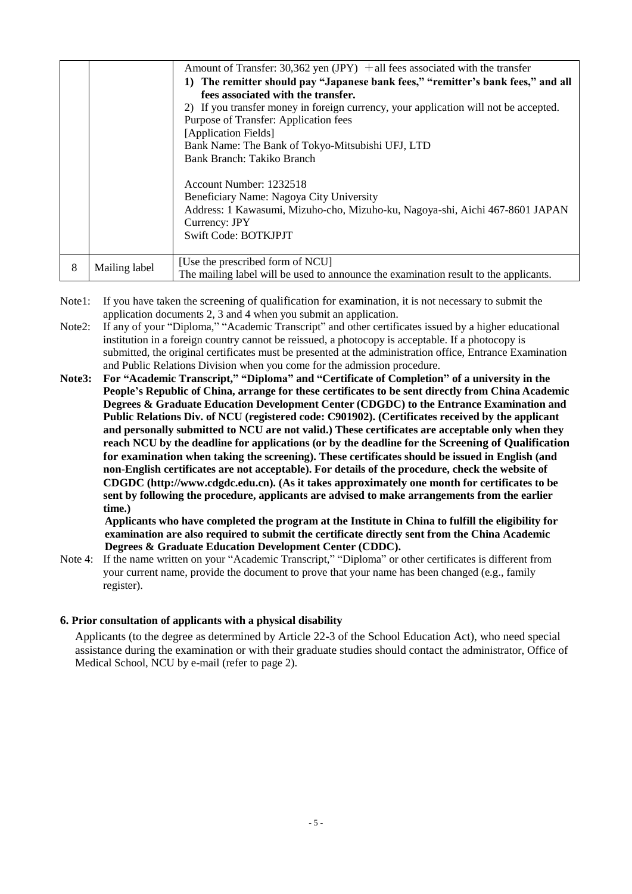|   |               | Amount of Transfer: 30,362 yen $(IPY)$ + all fees associated with the transfer       |
|---|---------------|--------------------------------------------------------------------------------------|
|   |               | The remitter should pay "Japanese bank fees," "remitter's bank fees," and all<br>1)  |
|   |               | fees associated with the transfer.                                                   |
|   |               | 2) If you transfer money in foreign currency, your application will not be accepted. |
|   |               | Purpose of Transfer: Application fees                                                |
|   |               | [Application Fields]                                                                 |
|   |               | Bank Name: The Bank of Tokyo-Mitsubishi UFJ, LTD                                     |
|   |               | Bank Branch: Takiko Branch                                                           |
|   |               |                                                                                      |
|   |               | Account Number: 1232518                                                              |
|   |               | Beneficiary Name: Nagoya City University                                             |
|   |               | Address: 1 Kawasumi, Mizuho-cho, Mizuho-ku, Nagoya-shi, Aichi 467-8601 JAPAN         |
|   |               | Currency: JPY                                                                        |
|   |               | Swift Code: BOTKJPJT                                                                 |
|   |               |                                                                                      |
| 8 | Mailing label | [Use the prescribed form of NCU]                                                     |
|   |               | The mailing label will be used to announce the examination result to the applicants. |

- Note1: If you have taken the screening of qualification for examination, it is not necessary to submit the application documents 2, 3 and 4 when you submit an application.
- Note2: If any of your "Diploma," "Academic Transcript" and other certificates issued by a higher educational institution in a foreign country cannot be reissued, a photocopy is acceptable. If a photocopy is submitted, the original certificates must be presented at the administration office, Entrance Examination and Public Relations Division when you come for the admission procedure.
- **Note3: For "Academic Transcript," "Diploma" and "Certificate of Completion" of a university in the People's Republic of China, arrange for these certificates to be sent directly from China Academic Degrees & Graduate Education Development Center (CDGDC) to the Entrance Examination and Public Relations Div. of NCU (registered code: C901902). (Certificates received by the applicant and personally submitted to NCU are not valid.) These certificates are acceptable only when they reach NCU by the deadline for applications (or by the deadline for the Screening of Qualification for examination when taking the screening). These certificates should be issued in English (and non-English certificates are not acceptable). For details of the procedure, check the website of CDGDC [\(http://www.cdgdc.edu.cn\)](http://www.cdgdc.edu.cn/). (As it takes approximately one month for certificates to be sent by following the procedure, applicants are advised to make arrangements from the earlier time.)**

**Applicants who have completed the program at the Institute in China to fulfill the eligibility for examination are also required to submit the certificate directly sent from the China Academic Degrees & Graduate Education Development Center (CDDC).**

Note 4: If the name written on your "Academic Transcript," "Diploma" or other certificates is different from your current name, provide the document to prove that your name has been changed (e.g., family register).

### **6. Prior consultation of applicants with a physical disability**

Applicants (to the degree as determined by Article 22-3 of the School Education Act), who need special assistance during the examination or with their graduate studies should contact the administrator, Office of Medical School, NCU by e-mail (refer to page 2).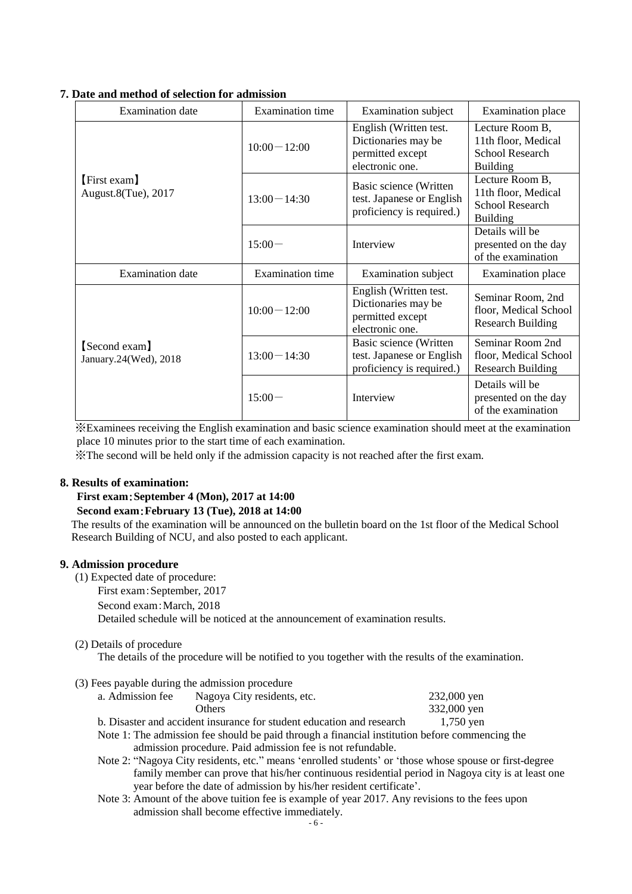| <b>Examination</b> date                | <b>Examination</b> time | <b>Examination</b> subject                                                           | <b>Examination</b> place                                                            |
|----------------------------------------|-------------------------|--------------------------------------------------------------------------------------|-------------------------------------------------------------------------------------|
|                                        | $10:00 - 12:00$         | English (Written test.<br>Dictionaries may be<br>permitted except<br>electronic one. | Lecture Room B,<br>11th floor, Medical<br><b>School Research</b><br><b>Building</b> |
| [First exam]<br>August.8(Tue), 2017    | $13:00 - 14:30$         | Basic science (Written<br>test. Japanese or English<br>proficiency is required.)     | Lecture Room B,<br>11th floor, Medical<br><b>School Research</b><br><b>Building</b> |
|                                        | $15:00-$                | Interview                                                                            | Details will be<br>presented on the day<br>of the examination                       |
| <b>Examination</b> date                | <b>Examination</b> time | <b>Examination</b> subject                                                           | <b>Examination</b> place                                                            |
|                                        | $10:00-12:00$           | English (Written test.<br>Dictionaries may be<br>permitted except<br>electronic one. | Seminar Room, 2nd<br>floor, Medical School<br><b>Research Building</b>              |
| [Second exam]<br>January.24(Wed), 2018 | $13:00 - 14:30$         | Basic science (Written<br>test. Japanese or English<br>proficiency is required.)     | Seminar Room 2nd<br>floor, Medical School<br><b>Research Building</b>               |
|                                        | $15:00 -$               | Interview                                                                            | Details will be<br>presented on the day<br>of the examination                       |

### **7. Date and method of selection for admission**

※Examinees receiving the English examination and basic science examination should meet at the examination place 10 minutes prior to the start time of each examination.

※The second will be held only if the admission capacity is not reached after the first exam.

### **8. Results of examination:**

## **First exam**:**September 4 (Mon), 2017 at 14:00**

**Second exam**:**February 13 (Tue), 2018 at 14:00**

The results of the examination will be announced on the bulletin board on the 1st floor of the Medical School Research Building of NCU, and also posted to each applicant.

### **9. Admission procedure**

(1) Expected date of procedure:

First exam:September, 2017

Second exam:March, 2018

Detailed schedule will be noticed at the announcement of examination results.

(2) Details of procedure

The details of the procedure will be notified to you together with the results of the examination.

| (3) Fees payable during the admission procedure |                             |
|-------------------------------------------------|-----------------------------|
| a. Admission fee                                | Nagoya City residents, etc. |

Others 332,000 yen b. Disaster and accident insurance for student education and research 1,750 yen

Note 1: The admission fee should be paid through a financial institution before commencing the admission procedure. Paid admission fee is not refundable.

Note 2: "Nagoya City residents, etc." means 'enrolled students' or 'those whose spouse or first-degree family member can prove that his/her continuous residential period in Nagoya city is at least one year before the date of admission by his/her resident certificate'.

232,000 yen

Note 3: Amount of the above tuition fee is example of year 2017. Any revisions to the fees upon admission shall become effective immediately.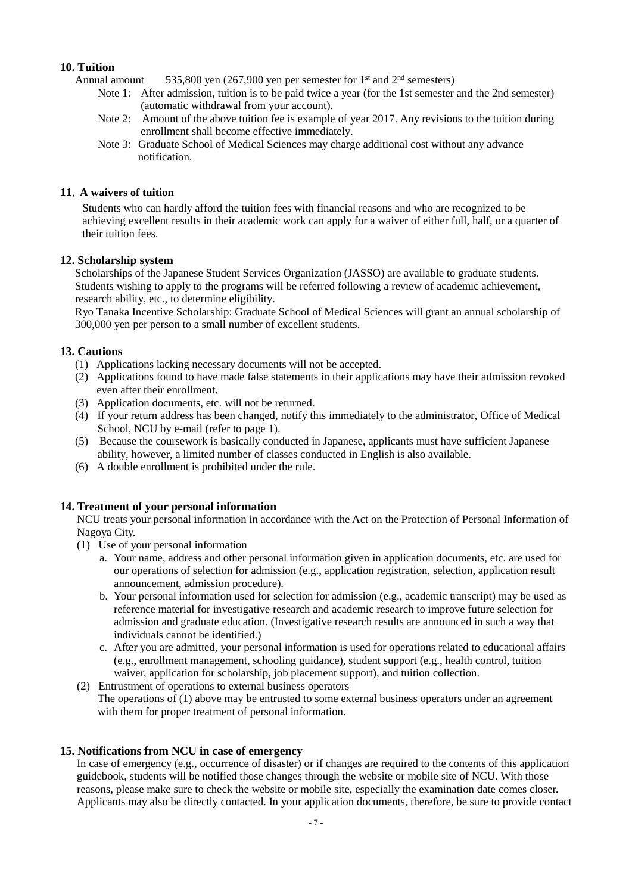### **10. Tuition**

Annual amount  $535,800$  yen (267,900 yen per semester for 1<sup>st</sup> and  $2<sup>nd</sup>$  semesters)

- Note 1: After admission, tuition is to be paid twice a year (for the 1st semester and the 2nd semester) (automatic withdrawal from your account).
- Note 2: Amount of the above tuition fee is example of year 2017. Any revisions to the tuition during enrollment shall become effective immediately.
- Note 3: Graduate School of Medical Sciences may charge additional cost without any advance notification.

### **11**.**A waivers of tuition**

Students who can hardly afford the tuition fees with financial reasons and who are recognized to be achieving excellent results in their academic work can apply for a waiver of either full, half, or a quarter of their tuition fees.

### **12. Scholarship system**

Scholarships of the Japanese Student Services Organization (JASSO) are available to graduate students. Students wishing to apply to the programs will be referred following a review of academic achievement, research ability, etc., to determine eligibility.

Ryo Tanaka Incentive Scholarship: Graduate School of Medical Sciences will grant an annual scholarship of 300,000 yen per person to a small number of excellent students.

### **13. Cautions**

- (1) Applications lacking necessary documents will not be accepted.
- (2) Applications found to have made false statements in their applications may have their admission revoked even after their enrollment.
- (3) Application documents, etc. will not be returned.
- (4) If your return address has been changed, notify this immediately to the administrator, Office of Medical School, NCU by e-mail (refer to page 1).
- (5) Because the coursework is basically conducted in Japanese, applicants must have sufficient Japanese ability, however, a limited number of classes conducted in English is also available.
- (6) A double enrollment is prohibited under the rule.

### **14. Treatment of your personal information**

NCU treats your personal information in accordance with the Act on the Protection of Personal Information of Nagoya City.

- (1) Use of your personal information
	- a. Your name, address and other personal information given in application documents, etc. are used for our operations of selection for admission (e.g., application registration, selection, application result announcement, admission procedure).
	- b. Your personal information used for selection for admission (e.g., academic transcript) may be used as reference material for investigative research and academic research to improve future selection for admission and graduate education. (Investigative research results are announced in such a way that individuals cannot be identified.)
	- c. After you are admitted, your personal information is used for operations related to educational affairs (e.g., enrollment management, schooling guidance), student support (e.g., health control, tuition waiver, application for scholarship, job placement support), and tuition collection.

(2) Entrustment of operations to external business operators The operations of (1) above may be entrusted to some external business operators under an agreement with them for proper treatment of personal information.

### **15. Notifications from NCU in case of emergency**

In case of emergency (e.g., occurrence of disaster) or if changes are required to the contents of this application guidebook, students will be notified those changes through the website or mobile site of NCU. With those reasons, please make sure to check the website or mobile site, especially the examination date comes closer. Applicants may also be directly contacted. In your application documents, therefore, be sure to provide contact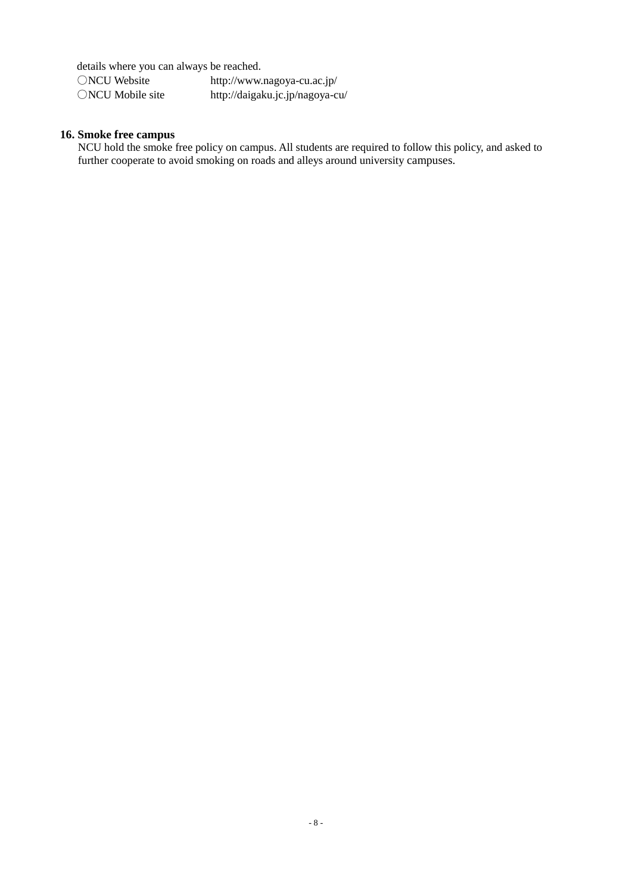details where you can always be reached.

| ○NCU Website               | http://www.nagoya-cu.ac.jp/     |
|----------------------------|---------------------------------|
| $\bigcirc$ NCU Mobile site | http://daigaku.jc.jp/nagoya-cu/ |

### **16. Smoke free campus**

NCU hold the smoke free policy on campus. All students are required to follow this policy, and asked to further cooperate to avoid smoking on roads and alleys around university campuses.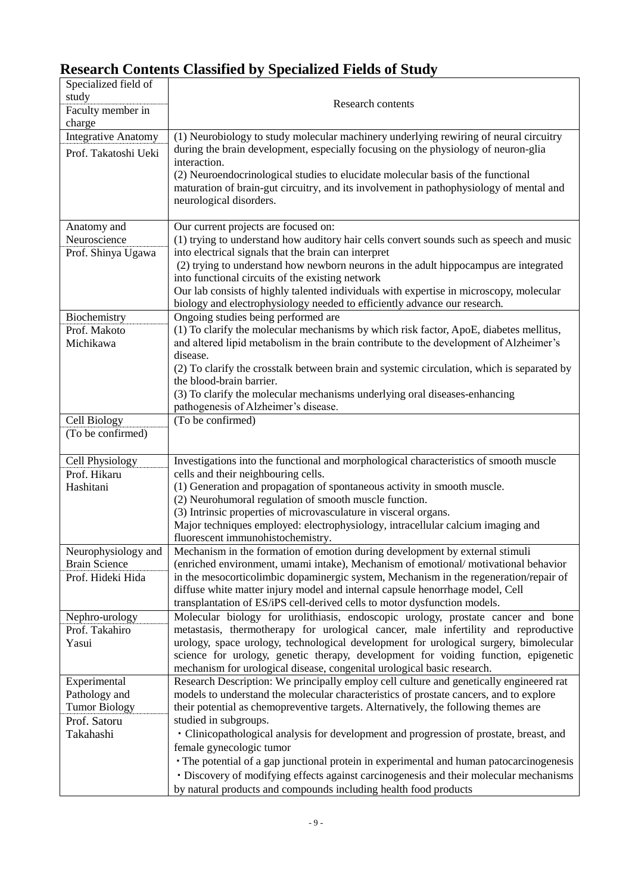# **Research Contents Classified by Specialized Fields of Study**

| Specialized field of<br>study    |                                                                                                                                                                                                        |
|----------------------------------|--------------------------------------------------------------------------------------------------------------------------------------------------------------------------------------------------------|
| Faculty member in<br>charge      | Research contents                                                                                                                                                                                      |
| <b>Integrative Anatomy</b>       | (1) Neurobiology to study molecular machinery underlying rewiring of neural circuitry                                                                                                                  |
| Prof. Takatoshi Ueki             | during the brain development, especially focusing on the physiology of neuron-glia<br>interaction.                                                                                                     |
|                                  | (2) Neuroendocrinological studies to elucidate molecular basis of the functional<br>maturation of brain-gut circuitry, and its involvement in pathophysiology of mental and<br>neurological disorders. |
| Anatomy and                      | Our current projects are focused on:                                                                                                                                                                   |
| Neuroscience                     | (1) trying to understand how auditory hair cells convert sounds such as speech and music                                                                                                               |
| Prof. Shinya Ugawa               | into electrical signals that the brain can interpret                                                                                                                                                   |
|                                  | (2) trying to understand how newborn neurons in the adult hippocampus are integrated                                                                                                                   |
|                                  | into functional circuits of the existing network<br>Our lab consists of highly talented individuals with expertise in microscopy, molecular                                                            |
|                                  | biology and electrophysiology needed to efficiently advance our research.                                                                                                                              |
| Biochemistry                     | Ongoing studies being performed are                                                                                                                                                                    |
| Prof. Makoto                     | (1) To clarify the molecular mechanisms by which risk factor, ApoE, diabetes mellitus,                                                                                                                 |
| Michikawa                        | and altered lipid metabolism in the brain contribute to the development of Alzheimer's                                                                                                                 |
|                                  | disease.                                                                                                                                                                                               |
|                                  | (2) To clarify the crosstalk between brain and systemic circulation, which is separated by                                                                                                             |
|                                  | the blood-brain barrier.<br>(3) To clarify the molecular mechanisms underlying oral diseases-enhancing                                                                                                 |
|                                  | pathogenesis of Alzheimer's disease.                                                                                                                                                                   |
| Cell Biology                     | (To be confirmed)                                                                                                                                                                                      |
| (To be confirmed)                |                                                                                                                                                                                                        |
| Cell Physiology                  | Investigations into the functional and morphological characteristics of smooth muscle                                                                                                                  |
| Prof. Hikaru                     | cells and their neighbouring cells.                                                                                                                                                                    |
| Hashitani                        | (1) Generation and propagation of spontaneous activity in smooth muscle.                                                                                                                               |
|                                  | (2) Neurohumoral regulation of smooth muscle function.                                                                                                                                                 |
|                                  | (3) Intrinsic properties of microvasculature in visceral organs.<br>Major techniques employed: electrophysiology, intracellular calcium imaging and                                                    |
|                                  | fluorescent immunohistochemistry.                                                                                                                                                                      |
| Neurophysiology and              | Mechanism in the formation of emotion during development by external stimuli                                                                                                                           |
| <b>Brain Science</b>             | (enriched environment, umami intake), Mechanism of emotional/motivational behavior                                                                                                                     |
| Prof. Hideki Hida                | in the mesocorticolimbic dopaminergic system, Mechanism in the regeneration/repair of                                                                                                                  |
|                                  | diffuse white matter injury model and internal capsule henorrhage model, Cell                                                                                                                          |
|                                  | transplantation of ES/iPS cell-derived cells to motor dysfunction models.                                                                                                                              |
| Nephro-urology<br>Prof. Takahiro | Molecular biology for urolithiasis, endoscopic urology, prostate cancer and bone<br>metastasis, thermotherapy for urological cancer, male infertility and reproductive                                 |
| Yasui                            | urology, space urology, technological development for urological surgery, bimolecular                                                                                                                  |
|                                  | science for urology, genetic therapy, development for voiding function, epigenetic                                                                                                                     |
|                                  | mechanism for urological disease, congenital urological basic research.                                                                                                                                |
| Experimental                     | Research Description: We principally employ cell culture and genetically engineered rat                                                                                                                |
| Pathology and                    | models to understand the molecular characteristics of prostate cancers, and to explore                                                                                                                 |
| <b>Tumor Biology</b>             | their potential as chemopreventive targets. Alternatively, the following themes are                                                                                                                    |
| Prof. Satoru                     | studied in subgroups.                                                                                                                                                                                  |
| Takahashi                        | · Clinicopathological analysis for development and progression of prostate, breast, and                                                                                                                |
|                                  | female gynecologic tumor<br>• The potential of a gap junctional protein in experimental and human patocarcinogenesis                                                                                   |
|                                  | · Discovery of modifying effects against carcinogenesis and their molecular mechanisms                                                                                                                 |
|                                  | by natural products and compounds including health food products                                                                                                                                       |
|                                  |                                                                                                                                                                                                        |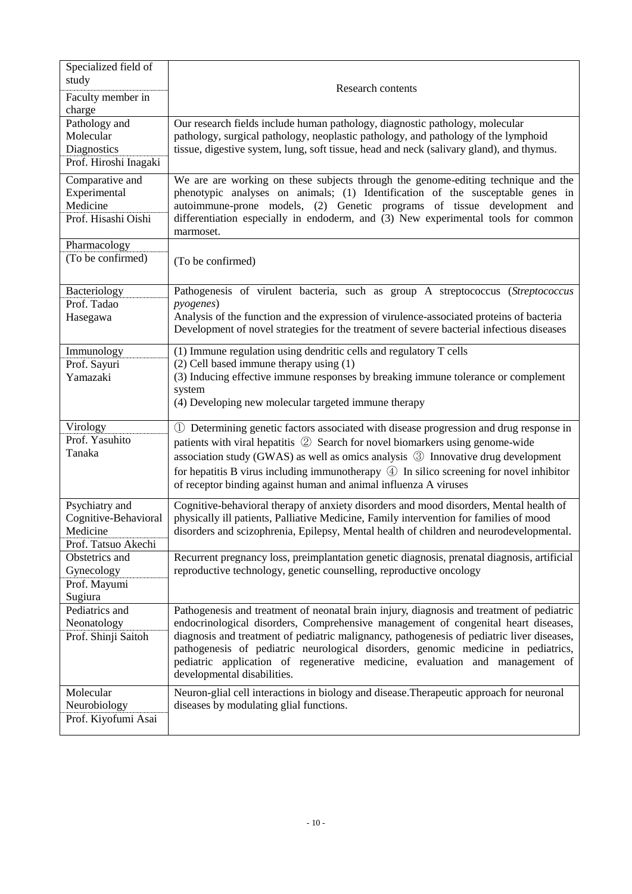| Specialized field of<br>study                                             | <b>Research contents</b>                                                                                                                                                                                                                                                                                                                                                                                                                                                          |
|---------------------------------------------------------------------------|-----------------------------------------------------------------------------------------------------------------------------------------------------------------------------------------------------------------------------------------------------------------------------------------------------------------------------------------------------------------------------------------------------------------------------------------------------------------------------------|
| Faculty member in<br>charge                                               |                                                                                                                                                                                                                                                                                                                                                                                                                                                                                   |
| Pathology and<br>Molecular<br>Diagnostics<br>Prof. Hiroshi Inagaki        | Our research fields include human pathology, diagnostic pathology, molecular<br>pathology, surgical pathology, neoplastic pathology, and pathology of the lymphoid<br>tissue, digestive system, lung, soft tissue, head and neck (salivary gland), and thymus.                                                                                                                                                                                                                    |
| Comparative and<br>Experimental<br>Medicine<br>Prof. Hisashi Oishi        | We are are working on these subjects through the genome-editing technique and the<br>phenotypic analyses on animals; (1) Identification of the susceptable genes in<br>autoimmune-prone models, (2) Genetic programs of tissue development and<br>differentiation especially in endoderm, and (3) New experimental tools for common<br>marmoset.                                                                                                                                  |
| Pharmacology<br>(To be confirmed)                                         | (To be confirmed)                                                                                                                                                                                                                                                                                                                                                                                                                                                                 |
| Bacteriology<br>Prof. Tadao<br>Hasegawa                                   | Pathogenesis of virulent bacteria, such as group A streptococcus (Streptococcus<br><i>pyogenes</i> )<br>Analysis of the function and the expression of virulence-associated proteins of bacteria<br>Development of novel strategies for the treatment of severe bacterial infectious diseases                                                                                                                                                                                     |
| Immunology<br>Prof. Sayuri<br>Yamazaki                                    | (1) Immune regulation using dendritic cells and regulatory T cells<br>(2) Cell based immune therapy using (1)<br>(3) Inducing effective immune responses by breaking immune tolerance or complement<br>system<br>(4) Developing new molecular targeted immune therapy                                                                                                                                                                                                             |
| Virology<br>Prof. Yasuhito<br>Tanaka                                      | 1) Determining genetic factors associated with disease progression and drug response in<br>patients with viral hepatitis ② Search for novel biomarkers using genome-wide<br>association study (GWAS) as well as omics analysis 3 Innovative drug development<br>for hepatitis B virus including immunotherapy $\circled{4}$ In silico screening for novel inhibitor<br>of receptor binding against human and animal influenza A viruses                                           |
| Psychiatry and<br>Cognitive-Behavioral<br>Medicine<br>Prof. Tatsuo Akechi | Cognitive-behavioral therapy of anxiety disorders and mood disorders, Mental health of<br>physically ill patients, Palliative Medicine, Family intervention for families of mood<br>disorders and scizophrenia, Epilepsy, Mental health of children and neurodevelopmental.                                                                                                                                                                                                       |
| Obstetrics and<br>Gynecology<br>Prof. Mayumi<br>Sugiura                   | Recurrent pregnancy loss, preimplantation genetic diagnosis, prenatal diagnosis, artificial<br>reproductive technology, genetic counselling, reproductive oncology                                                                                                                                                                                                                                                                                                                |
| Pediatrics and<br>Neonatology<br>Prof. Shinji Saitoh                      | Pathogenesis and treatment of neonatal brain injury, diagnosis and treatment of pediatric<br>endocrinological disorders, Comprehensive management of congenital heart diseases,<br>diagnosis and treatment of pediatric malignancy, pathogenesis of pediatric liver diseases,<br>pathogenesis of pediatric neurological disorders, genomic medicine in pediatrics,<br>pediatric application of regenerative medicine, evaluation and management of<br>developmental disabilities. |
| Molecular<br>Neurobiology<br>Prof. Kiyofumi Asai                          | Neuron-glial cell interactions in biology and disease. Therapeutic approach for neuronal<br>diseases by modulating glial functions.                                                                                                                                                                                                                                                                                                                                               |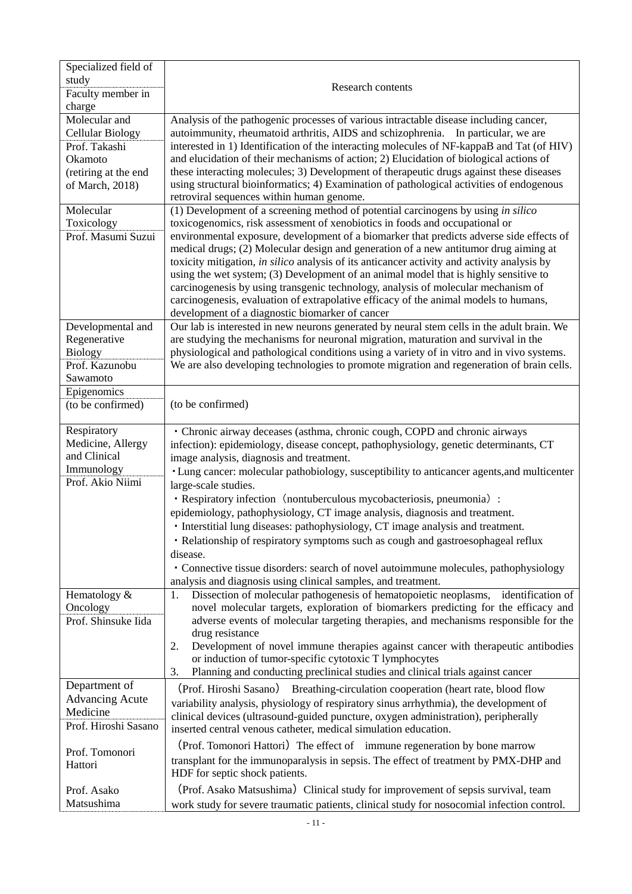| Specialized field of             |                                                                                                                                                                           |
|----------------------------------|---------------------------------------------------------------------------------------------------------------------------------------------------------------------------|
| study<br>Faculty member in       | Research contents                                                                                                                                                         |
| charge                           |                                                                                                                                                                           |
| Molecular and                    | Analysis of the pathogenic processes of various intractable disease including cancer,                                                                                     |
| <b>Cellular Biology</b>          | autoimmunity, rheumatoid arthritis, AIDS and schizophrenia. In particular, we are                                                                                         |
| Prof. Takashi                    | interested in 1) Identification of the interacting molecules of NF-kappaB and Tat (of HIV)                                                                                |
| Okamoto                          | and elucidation of their mechanisms of action; 2) Elucidation of biological actions of                                                                                    |
| (retiring at the end             | these interacting molecules; 3) Development of therapeutic drugs against these diseases                                                                                   |
| of March, 2018)                  | using structural bioinformatics; 4) Examination of pathological activities of endogenous                                                                                  |
|                                  | retroviral sequences within human genome.                                                                                                                                 |
| Molecular                        | $(1)$ Development of a screening method of potential carcinogens by using <i>in silico</i>                                                                                |
| Toxicology                       | toxicogenomics, risk assessment of xenobiotics in foods and occupational or                                                                                               |
| Prof. Masumi Suzui               | environmental exposure, development of a biomarker that predicts adverse side effects of                                                                                  |
|                                  | medical drugs; (2) Molecular design and generation of a new antitumor drug aiming at                                                                                      |
|                                  | toxicity mitigation, in silico analysis of its anticancer activity and activity analysis by                                                                               |
|                                  | using the wet system; (3) Development of an animal model that is highly sensitive to<br>carcinogenesis by using transgenic technology, analysis of molecular mechanism of |
|                                  | carcinogenesis, evaluation of extrapolative efficacy of the animal models to humans,                                                                                      |
|                                  | development of a diagnostic biomarker of cancer                                                                                                                           |
| Developmental and                | Our lab is interested in new neurons generated by neural stem cells in the adult brain. We                                                                                |
| Regenerative                     | are studying the mechanisms for neuronal migration, maturation and survival in the                                                                                        |
| <b>Biology</b>                   | physiological and pathological conditions using a variety of in vitro and in vivo systems.                                                                                |
| Prof. Kazunobu                   | We are also developing technologies to promote migration and regeneration of brain cells.                                                                                 |
| Sawamoto                         |                                                                                                                                                                           |
| Epigenomics                      |                                                                                                                                                                           |
| (to be confirmed)                | (to be confirmed)                                                                                                                                                         |
|                                  |                                                                                                                                                                           |
| Respiratory<br>Medicine, Allergy | • Chronic airway deceases (asthma, chronic cough, COPD and chronic airways                                                                                                |
| and Clinical                     | infection): epidemiology, disease concept, pathophysiology, genetic determinants, CT                                                                                      |
| Immunology                       | image analysis, diagnosis and treatment.<br>• Lung cancer: molecular pathobiology, susceptibility to anticancer agents, and multicenter                                   |
| Prof. Akio Niimi                 | large-scale studies.                                                                                                                                                      |
|                                  | · Respiratory infection (nontuberculous mycobacteriosis, pneumonia) :                                                                                                     |
|                                  | epidemiology, pathophysiology, CT image analysis, diagnosis and treatment.                                                                                                |
|                                  | · Interstitial lung diseases: pathophysiology, CT image analysis and treatment.                                                                                           |
|                                  | • Relationship of respiratory symptoms such as cough and gastroesophageal reflux                                                                                          |
|                                  | disease.                                                                                                                                                                  |
|                                  | · Connective tissue disorders: search of novel autoimmune molecules, pathophysiology                                                                                      |
|                                  | analysis and diagnosis using clinical samples, and treatment.                                                                                                             |
| Hematology &                     | Dissection of molecular pathogenesis of hematopoietic neoplasms, identification of<br>1.                                                                                  |
| Oncology                         | novel molecular targets, exploration of biomarkers predicting for the efficacy and                                                                                        |
| Prof. Shinsuke Iida              | adverse events of molecular targeting therapies, and mechanisms responsible for the                                                                                       |
|                                  | drug resistance                                                                                                                                                           |
|                                  | Development of novel immune therapies against cancer with therapeutic antibodies<br>2.<br>or induction of tumor-specific cytotoxic T lymphocytes                          |
|                                  | Planning and conducting preclinical studies and clinical trials against cancer<br>3.                                                                                      |
| Department of                    |                                                                                                                                                                           |
| <b>Advancing Acute</b>           | (Prof. Hiroshi Sasano) Breathing-circulation cooperation (heart rate, blood flow                                                                                          |
| Medicine                         | variability analysis, physiology of respiratory sinus arrhythmia), the development of                                                                                     |
| Prof. Hiroshi Sasano             | clinical devices (ultrasound-guided puncture, oxygen administration), peripherally<br>inserted central venous catheter, medical simulation education.                     |
|                                  | (Prof. Tomonori Hattori) The effect of immune regeneration by bone marrow                                                                                                 |
| Prof. Tomonori                   | transplant for the immunoparalysis in sepsis. The effect of treatment by PMX-DHP and                                                                                      |
| Hattori                          | HDF for septic shock patients.                                                                                                                                            |
| Prof. Asako                      | (Prof. Asako Matsushima) Clinical study for improvement of sepsis survival, team                                                                                          |
| Matsushima                       | work study for severe traumatic patients, clinical study for nosocomial infection control.                                                                                |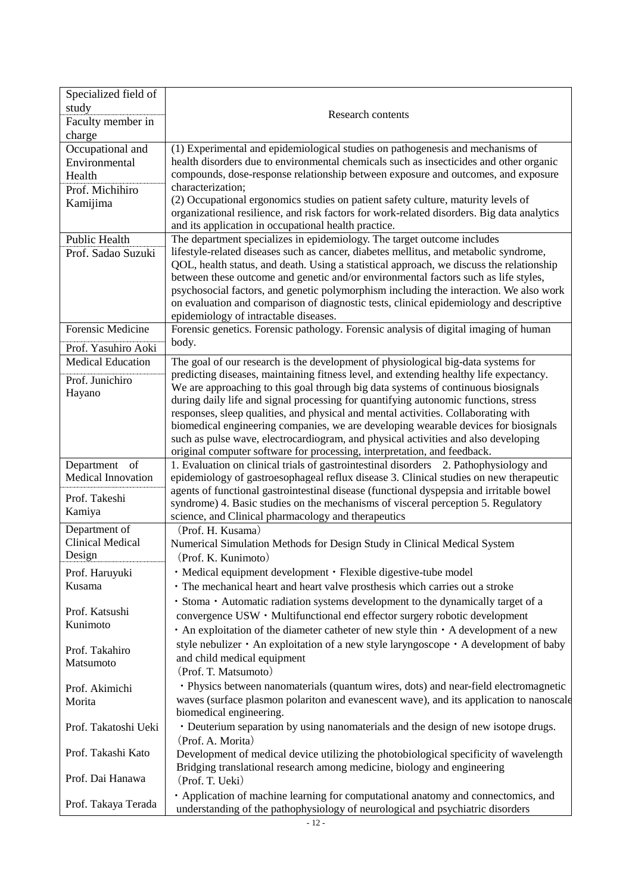| Specialized field of      |                                                                                                                                                                                 |
|---------------------------|---------------------------------------------------------------------------------------------------------------------------------------------------------------------------------|
| study                     |                                                                                                                                                                                 |
| Faculty member in         | <b>Research contents</b>                                                                                                                                                        |
| charge                    |                                                                                                                                                                                 |
| Occupational and          | (1) Experimental and epidemiological studies on pathogenesis and mechanisms of                                                                                                  |
| Environmental             | health disorders due to environmental chemicals such as insecticides and other organic                                                                                          |
| Health                    | compounds, dose-response relationship between exposure and outcomes, and exposure                                                                                               |
| Prof. Michihiro           | characterization;                                                                                                                                                               |
| Kamijima                  | (2) Occupational ergonomics studies on patient safety culture, maturity levels of                                                                                               |
|                           | organizational resilience, and risk factors for work-related disorders. Big data analytics                                                                                      |
| <b>Public Health</b>      | and its application in occupational health practice.                                                                                                                            |
| Prof. Sadao Suzuki        | The department specializes in epidemiology. The target outcome includes<br>lifestyle-related diseases such as cancer, diabetes mellitus, and metabolic syndrome,                |
|                           | QOL, health status, and death. Using a statistical approach, we discuss the relationship                                                                                        |
|                           | between these outcome and genetic and/or environmental factors such as life styles,                                                                                             |
|                           | psychosocial factors, and genetic polymorphism including the interaction. We also work                                                                                          |
|                           | on evaluation and comparison of diagnostic tests, clinical epidemiology and descriptive                                                                                         |
|                           | epidemiology of intractable diseases.                                                                                                                                           |
| Forensic Medicine         | Forensic genetics. Forensic pathology. Forensic analysis of digital imaging of human                                                                                            |
| Prof. Yasuhiro Aoki       | body.                                                                                                                                                                           |
| <b>Medical Education</b>  | The goal of our research is the development of physiological big-data systems for                                                                                               |
|                           | predicting diseases, maintaining fitness level, and extending healthy life expectancy.                                                                                          |
| Prof. Junichiro           | We are approaching to this goal through big data systems of continuous biosignals                                                                                               |
| Hayano                    | during daily life and signal processing for quantifying autonomic functions, stress                                                                                             |
|                           | responses, sleep qualities, and physical and mental activities. Collaborating with                                                                                              |
|                           | biomedical engineering companies, we are developing wearable devices for biosignals                                                                                             |
|                           | such as pulse wave, electrocardiogram, and physical activities and also developing                                                                                              |
|                           | original computer software for processing, interpretation, and feedback.                                                                                                        |
| Department of             | 1. Evaluation on clinical trials of gastrointestinal disorders 2. Pathophysiology and                                                                                           |
| <b>Medical Innovation</b> | epidemiology of gastroesophageal reflux disease 3. Clinical studies on new therapeutic                                                                                          |
| Prof. Takeshi             | agents of functional gastrointestinal disease (functional dyspepsia and irritable bowel                                                                                         |
| Kamiya                    | syndrome) 4. Basic studies on the mechanisms of visceral perception 5. Regulatory<br>science, and Clinical pharmacology and therapeutics                                        |
| Department of             | (Prof. H. Kusama)                                                                                                                                                               |
| <b>Clinical Medical</b>   | Numerical Simulation Methods for Design Study in Clinical Medical System                                                                                                        |
| Design                    | (Prof. K. Kunimoto)                                                                                                                                                             |
| Prof. Haruyuki            | · Medical equipment development · Flexible digestive-tube model                                                                                                                 |
| Kusama                    | • The mechanical heart and heart valve prosthesis which carries out a stroke                                                                                                    |
|                           | · Stoma · Automatic radiation systems development to the dynamically target of a                                                                                                |
| Prof. Katsushi            | convergence USW · Multifunctional end effector surgery robotic development                                                                                                      |
| Kunimoto                  |                                                                                                                                                                                 |
|                           | • An exploitation of the diameter catheter of new style thin • A development of a new                                                                                           |
| Prof. Takahiro            | style nebulizer • An exploitation of a new style laryngoscope • A development of baby                                                                                           |
| Matsumoto                 | and child medical equipment<br>(Prof. T. Matsumoto)                                                                                                                             |
|                           |                                                                                                                                                                                 |
| Prof. Akimichi            | · Physics between nanomaterials (quantum wires, dots) and near-field electromagnetic<br>waves (surface plasmon polariton and evanescent wave), and its application to nanoscale |
| Morita                    | biomedical engineering.                                                                                                                                                         |
| Prof. Takatoshi Ueki      | • Deuterium separation by using nanomaterials and the design of new isotope drugs.                                                                                              |
|                           | (Prof. A. Morita)                                                                                                                                                               |
| Prof. Takashi Kato        | Development of medical device utilizing the photobiological specificity of wavelength                                                                                           |
|                           | Bridging translational research among medicine, biology and engineering                                                                                                         |
| Prof. Dai Hanawa          | (Prof. T. Ueki)                                                                                                                                                                 |
|                           | • Application of machine learning for computational anatomy and connectomics, and                                                                                               |
| Prof. Takaya Terada       | understanding of the pathophysiology of neurological and psychiatric disorders                                                                                                  |